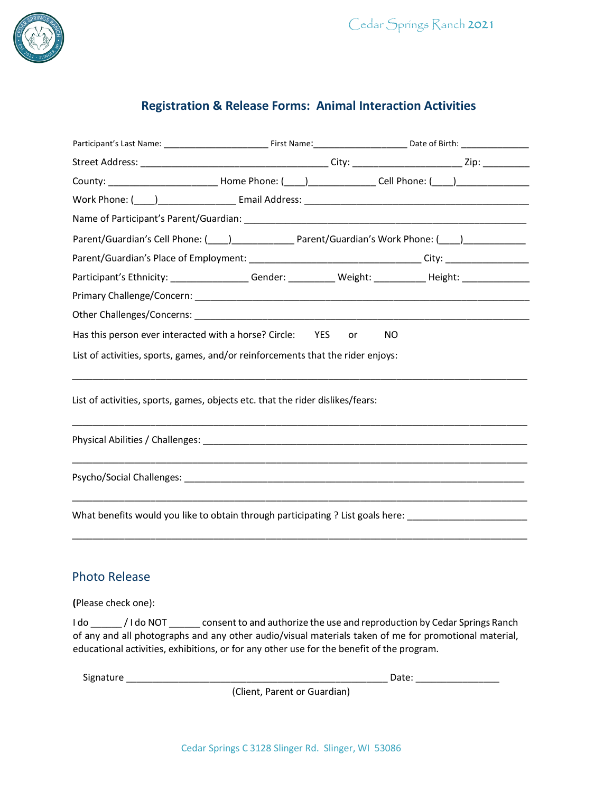

## **Registration & Release Forms: Animal Interaction Activities**

|                                                                                                                                                                                                                                                                                                                 | County: ______________________________Home Phone: (____) _______________Cell Phone: (____) ______________                           |
|-----------------------------------------------------------------------------------------------------------------------------------------------------------------------------------------------------------------------------------------------------------------------------------------------------------------|-------------------------------------------------------------------------------------------------------------------------------------|
|                                                                                                                                                                                                                                                                                                                 |                                                                                                                                     |
|                                                                                                                                                                                                                                                                                                                 |                                                                                                                                     |
|                                                                                                                                                                                                                                                                                                                 | Parent/Guardian's Cell Phone: (1992) [2012] Parent/Guardian's Work Phone: (2013) [2022] [2023] Parent/Guardian's Work Phone: (2023) |
|                                                                                                                                                                                                                                                                                                                 |                                                                                                                                     |
|                                                                                                                                                                                                                                                                                                                 | Participant's Ethnicity: ________________Gender: __________Weight: __________Height: ______________                                 |
|                                                                                                                                                                                                                                                                                                                 |                                                                                                                                     |
|                                                                                                                                                                                                                                                                                                                 |                                                                                                                                     |
| Has this person ever interacted with a horse? Circle: YES or                                                                                                                                                                                                                                                    | NO.                                                                                                                                 |
| List of activities, sports, games, and/or reinforcements that the rider enjoys:                                                                                                                                                                                                                                 |                                                                                                                                     |
| List of activities, sports, games, objects etc. that the rider dislikes/fears:                                                                                                                                                                                                                                  |                                                                                                                                     |
|                                                                                                                                                                                                                                                                                                                 |                                                                                                                                     |
|                                                                                                                                                                                                                                                                                                                 | What benefits would you like to obtain through participating ? List goals here: ______________________________                      |
| <b>Photo Release</b>                                                                                                                                                                                                                                                                                            |                                                                                                                                     |
| (Please check one):                                                                                                                                                                                                                                                                                             |                                                                                                                                     |
| I do ________/ I do NOT ________ consent to and authorize the use and reproduction by Cedar Springs Ranch<br>of any and all photographs and any other audio/visual materials taken of me for promotional material,<br>educational activities, exhibitions, or for any other use for the benefit of the program. |                                                                                                                                     |

Signature \_\_\_\_\_\_\_\_\_\_\_\_\_\_\_\_\_\_\_\_\_\_\_\_\_\_\_\_\_\_\_\_\_\_\_\_\_\_\_\_\_\_\_\_\_\_\_\_\_\_ Date: \_\_\_\_\_\_\_\_\_\_\_\_\_\_\_\_

(Client, Parent or Guardian)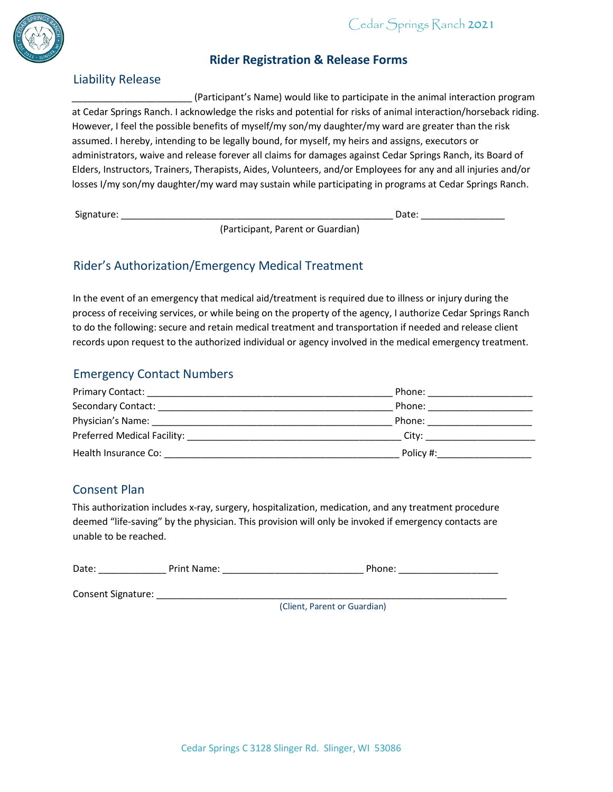

#### Liability Release

#### **Rider Registration & Release Forms**

\_\_\_\_\_\_\_\_\_\_\_\_\_\_\_\_\_\_\_\_\_\_\_ (Participant's Name) would like to participate in the animal interaction program at Cedar Springs Ranch. I acknowledge the risks and potential for risks of animal interaction/horseback riding. However, I feel the possible benefits of myself/my son/my daughter/my ward are greater than the risk assumed. I hereby, intending to be legally bound, for myself, my heirs and assigns, executors or administrators, waive and release forever all claims for damages against Cedar Springs Ranch, its Board of Elders, Instructors, Trainers, Therapists, Aides, Volunteers, and/or Employees for any and all injuries and/or losses I/my son/my daughter/my ward may sustain while participating in programs at Cedar Springs Ranch.

Signature: \_\_\_\_\_\_\_\_\_\_\_\_\_\_\_\_\_\_\_\_\_\_\_\_\_\_\_\_\_\_\_\_\_\_\_\_\_\_\_\_\_\_\_\_\_\_\_\_\_\_\_\_ Date: \_\_\_\_\_\_\_\_\_\_\_\_\_\_\_\_

(Participant, Parent or Guardian)

### Rider's Authorization/Emergency Medical Treatment

In the event of an emergency that medical aid/treatment is required due to illness or injury during the process of receiving services, or while being on the property of the agency, I authorize Cedar Springs Ranch to do the following: secure and retain medical treatment and transportation if needed and release client records upon request to the authorized individual or agency involved in the medical emergency treatment.

#### Emergency Contact Numbers

| <b>Primary Contact:</b>                                                                                                                                                                                                       | Phone:    |
|-------------------------------------------------------------------------------------------------------------------------------------------------------------------------------------------------------------------------------|-----------|
| Secondary Contact:                                                                                                                                                                                                            | Phone:    |
| Physician's Name:                                                                                                                                                                                                             | Phone:    |
| Preferred Medical Facility: Note that the set of the set of the set of the set of the set of the set of the set of the set of the set of the set of the set of the set of the set of the set of the set of the set of the set | City:     |
| Health Insurance Co:                                                                                                                                                                                                          | Policy #: |

#### Consent Plan

This authorization includes x-ray, surgery, hospitalization, medication, and any treatment procedure deemed "life-saving" by the physician. This provision will only be invoked if emergency contacts are unable to be reached.

| Date:              | Print Name: | Phone: |
|--------------------|-------------|--------|
| Consent Signature: |             |        |
|                    |             | C      |

(Client, Parent or Guardian)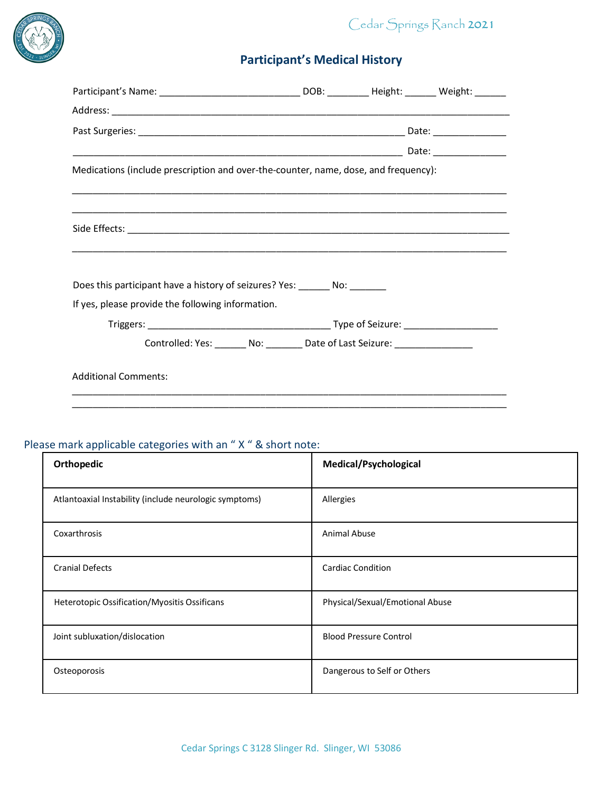



# **Participant's Medical History**

| Participant's Name: ___________________________________DOB: ___________Height: ________ Weight: ________ |  |  |
|----------------------------------------------------------------------------------------------------------|--|--|
|                                                                                                          |  |  |
|                                                                                                          |  |  |
|                                                                                                          |  |  |
| Medications (include prescription and over-the-counter, name, dose, and frequency):                      |  |  |
|                                                                                                          |  |  |
|                                                                                                          |  |  |
| Does this participant have a history of seizures? Yes: ________ No: ________                             |  |  |
| If yes, please provide the following information.                                                        |  |  |
|                                                                                                          |  |  |
| Controlled: Yes: _______ No: ________ Date of Last Seizure: ____________________                         |  |  |
| <b>Additional Comments:</b>                                                                              |  |  |
|                                                                                                          |  |  |

# Please mark applicable categories with an " X " & short note:

| Orthopedic                                             | Medical/Psychological           |
|--------------------------------------------------------|---------------------------------|
| Atlantoaxial Instability (include neurologic symptoms) | Allergies                       |
| Coxarthrosis                                           | <b>Animal Abuse</b>             |
| <b>Cranial Defects</b>                                 | <b>Cardiac Condition</b>        |
| Heterotopic Ossification/Myositis Ossificans           | Physical/Sexual/Emotional Abuse |
| Joint subluxation/dislocation                          | <b>Blood Pressure Control</b>   |
| Osteoporosis                                           | Dangerous to Self or Others     |